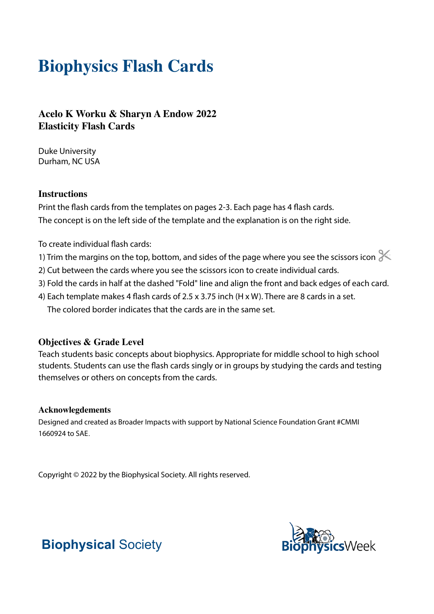# **Biophysics Flash Cards**

**Acelo K Worku & Sharyn A Endow 2022 Elasticity Flash Cards**

Duke University Durham, NC USA

### **Instructions**

Print the flash cards from the templates on pages 2-3. Each page has 4 flash cards. The concept is on the left side of the template and the explanation is on the right side.

To create individual flash cards:

- 1) Trim the margins on the top, bottom, and sides of the page where you see the scissors icon  $\ll$
- 2) Cut between the cards where you see the scissors icon to create individual cards.
- 3) Fold the cards in half at the dashed "Fold" line and align the front and back edges of each card.
- 4) Each template makes 4 flash cards of 2.5 x 3.75 inch (H x W). There are 8 cards in a set. The colored border indicates that the cards are in the same set.

### **Objectives & Grade Level**

Teach students basic concepts about biophysics. Appropriate for middle school to high school students. Students can use the flash cards singly or in groups by studying the cards and testing themselves or others on concepts from the cards.

#### **Acknowlegdements**

Designed and created as Broader Impacts with support by National Science Foundation Grant #CMMI 1660924 to SAE.

Copyright © 2022 by the Biophysical Society. All rights reserved.



## **Biophysical** Society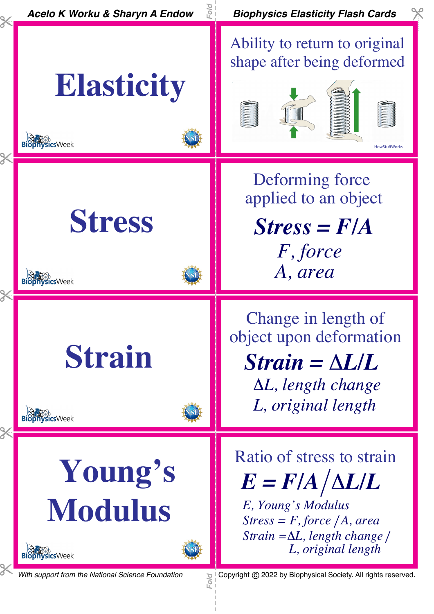